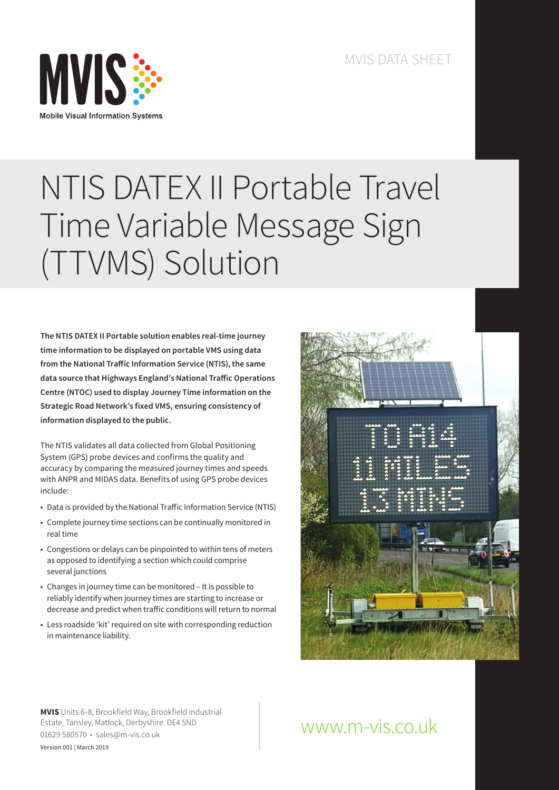

# NTIS DATEX II Portable Travel Time Variable Message Sign (TTVMS) Solution

**The NTIS DATEX II Portable solution enables real-time journey time information to be displayed on portable VMS using data from the National Traffic Information Service (NTIS), the same data source that Highways England's National Traffic Operations Centre (NTOC) used to display Journey Time information on the Strategic Road Network's fixed VMS, ensuring consistency of information displayed to the public.**

The NTIS validates all data collected from Global Positioning System (GPS) probe devices and confirms the quality and accuracy by comparing the measured journey times and speeds with ANPR and MIDAS data. Benefits of using GPS probe devices include:

- Data is provided by the National Traffic Information Service (NTIS)
- Complete journey time sections can be continually monitored in real time
- Congestions or delays can be pinpointed to within tens of meters as opposed to identifying a section which could comprise several junctions
- Changes in journey time can be monitored It is possible to reliably identify when journey times are starting to increase or decrease and predict when traffic conditions will return to normal
- Less roadside 'kit' required on site with corresponding reduction in maintenance liability.



**MVIS** Units 6-8, Brookfield Way, Brookfield Industrial Estate, Tansley, Matlock, Derbyshire. DE4 5ND 01629 580570 • sales@m-vis.co.uk Version 001 | March 2019

## www.m-vis.co.uk